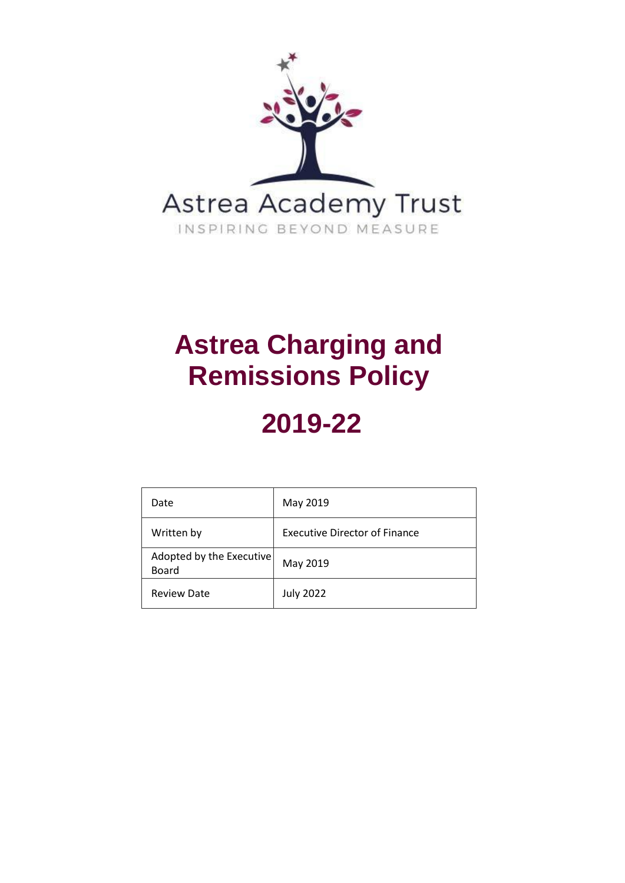

## **Astrea Charging and Remissions Policy**

# **2019-22**

| Date                                     | May 2019                      |
|------------------------------------------|-------------------------------|
| Written by                               | Executive Director of Finance |
| Adopted by the Executive<br><b>Board</b> | May 2019                      |
| <b>Review Date</b>                       | <b>July 2022</b>              |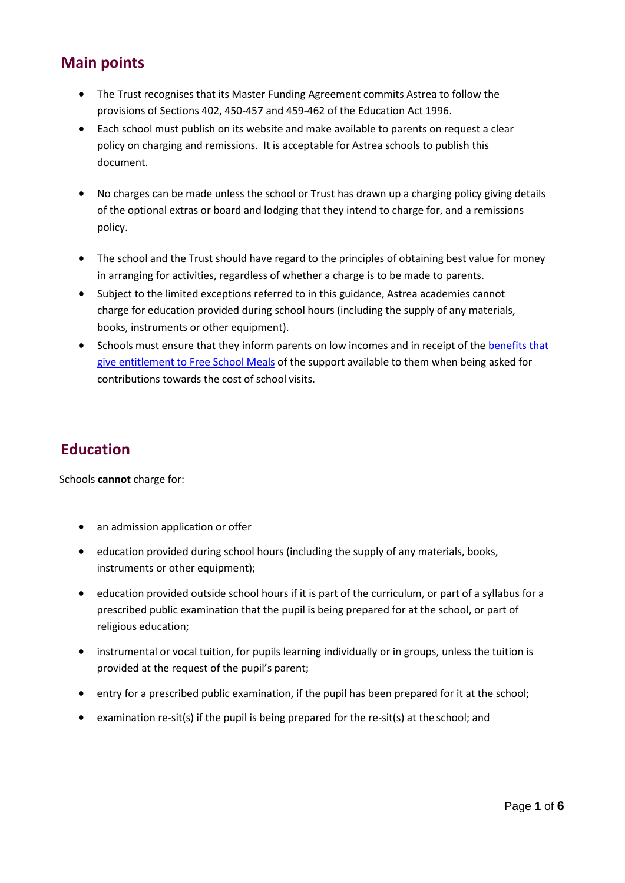### **Main points**

- The Trust recognises that its Master Funding Agreement commits Astrea to follow the provisions of Sections 402, 450-457 and 459-462 of the Education Act 1996.
- Each school must publish on its website and make available to parents on request a clear policy on charging and remissions. It is acceptable for Astrea schools to publish this document.
- No charges can be made unless the school or Trust has drawn up a charging policy giving details of the optional extras or board and lodging that they intend to charge for, and a remissions policy.
- The school and the Trust should have regard to the principles of obtaining best value for money in arranging for activities, regardless of whether a charge is to be made to parents.
- Subject to the limited exceptions referred to in this guidance, Astrea academies cannot charge for education provided during school hours (including the supply of any materials, books, instruments or other equipment).
- Schools must ensure that they inform parents on low incomes and in receipt of the [benefits that](https://www.gov.uk/apply-free-school-meals)  [give entitlement to Free School Meals](https://www.gov.uk/apply-free-school-meals) of the support available to them when being asked for contributions towards the cost of school visits.

### **Education**

Schools **cannot** charge for:

- an admission application or offer
- education provided during school hours (including the supply of any materials, books, instruments or other equipment);
- education provided outside school hours if it is part of the curriculum, or part of a syllabus for a prescribed public examination that the pupil is being prepared for at the school, or part of religious education;
- instrumental or vocal tuition, for pupils learning individually or in groups, unless the tuition is provided at the request of the pupil's parent;
- entry for a prescribed public examination, if the pupil has been prepared for it at the school;
- examination re-sit(s) if the pupil is being prepared for the re-sit(s) at the school; and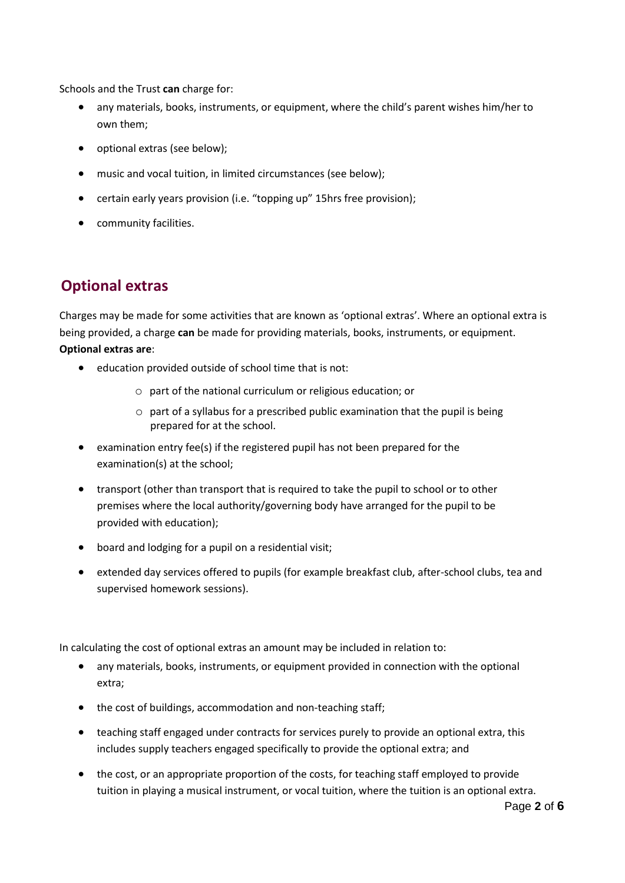Schools and the Trust **can** charge for:

- any materials, books, instruments, or equipment, where the child's parent wishes him/her to own them;
- optional extras (see below);
- music and vocal tuition, in limited circumstances (see below);
- certain early years provision (i.e. "topping up" 15hrs free provision);
- community facilities.

## **Optional extras**

Charges may be made for some activities that are known as 'optional extras'. Where an optional extra is being provided, a charge **can** be made for providing materials, books, instruments, or equipment. **Optional extras are**:

- education provided outside of school time that is not:
	- o part of the national curriculum or religious education; or
	- o part of a syllabus for a prescribed public examination that the pupil is being prepared for at the school.
- examination entry fee(s) if the registered pupil has not been prepared for the examination(s) at the school;
- transport (other than transport that is required to take the pupil to school or to other premises where the local authority/governing body have arranged for the pupil to be provided with education);
- board and lodging for a pupil on a residential visit;
- extended day services offered to pupils (for example breakfast club, after-school clubs, tea and supervised homework sessions).

In calculating the cost of optional extras an amount may be included in relation to:

- any materials, books, instruments, or equipment provided in connection with the optional extra;
- the cost of buildings, accommodation and non-teaching staff;
- teaching staff engaged under contracts for services purely to provide an optional extra, this includes supply teachers engaged specifically to provide the optional extra; and
- the cost, or an appropriate proportion of the costs, for teaching staff employed to provide tuition in playing a musical instrument, or vocal tuition, where the tuition is an optional extra.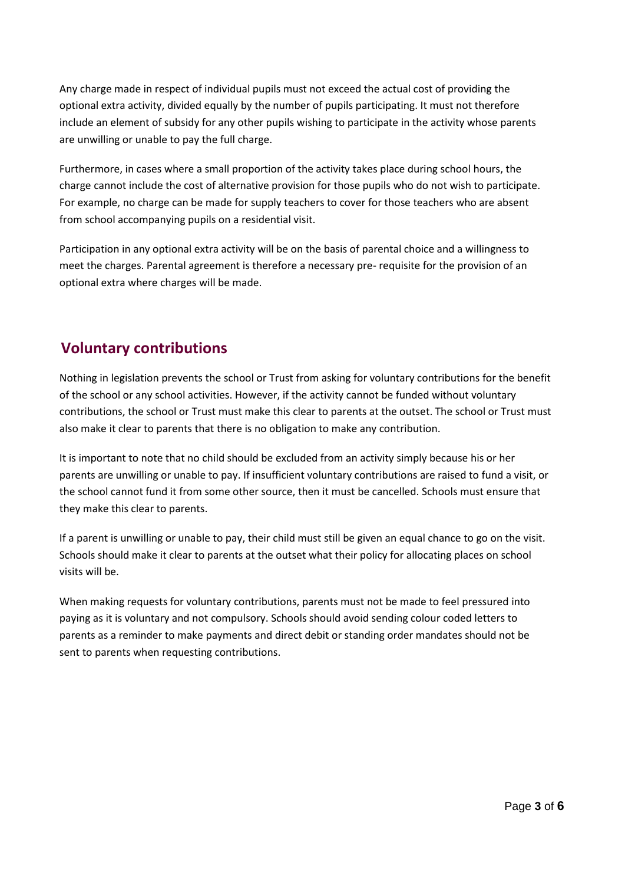Any charge made in respect of individual pupils must not exceed the actual cost of providing the optional extra activity, divided equally by the number of pupils participating. It must not therefore include an element of subsidy for any other pupils wishing to participate in the activity whose parents are unwilling or unable to pay the full charge.

Furthermore, in cases where a small proportion of the activity takes place during school hours, the charge cannot include the cost of alternative provision for those pupils who do not wish to participate. For example, no charge can be made for supply teachers to cover for those teachers who are absent from school accompanying pupils on a residential visit.

Participation in any optional extra activity will be on the basis of parental choice and a willingness to meet the charges. Parental agreement is therefore a necessary pre- requisite for the provision of an optional extra where charges will be made.

## **Voluntary contributions**

Nothing in legislation prevents the school or Trust from asking for voluntary contributions for the benefit of the school or any school activities. However, if the activity cannot be funded without voluntary contributions, the school or Trust must make this clear to parents at the outset. The school or Trust must also make it clear to parents that there is no obligation to make any contribution.

It is important to note that no child should be excluded from an activity simply because his or her parents are unwilling or unable to pay. If insufficient voluntary contributions are raised to fund a visit, or the school cannot fund it from some other source, then it must be cancelled. Schools must ensure that they make this clear to parents.

If a parent is unwilling or unable to pay, their child must still be given an equal chance to go on the visit. Schools should make it clear to parents at the outset what their policy for allocating places on school visits will be.

When making requests for voluntary contributions, parents must not be made to feel pressured into paying as it is voluntary and not compulsory. Schools should avoid sending colour coded letters to parents as a reminder to make payments and direct debit or standing order mandates should not be sent to parents when requesting contributions.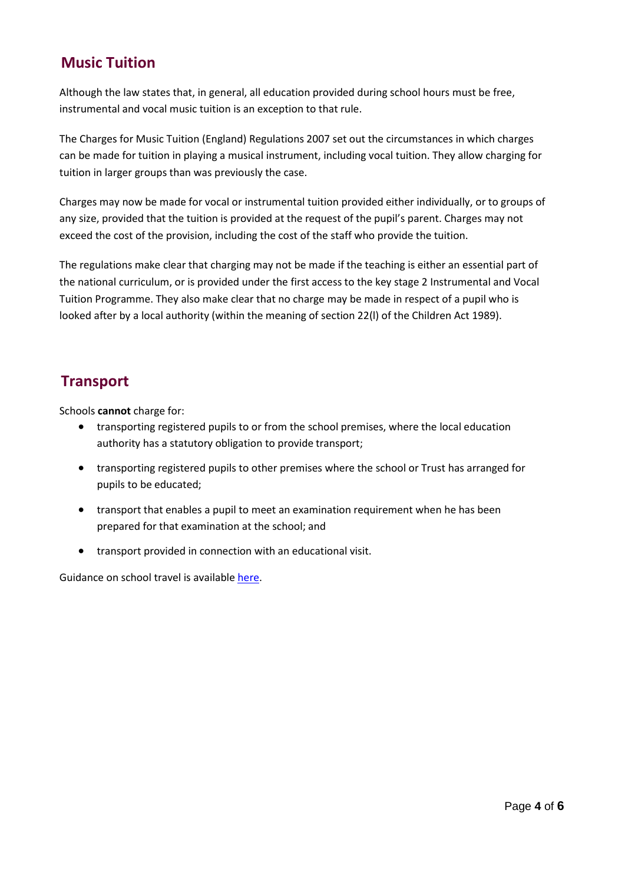#### **Music Tuition**

Although the law states that, in general, all education provided during school hours must be free, instrumental and vocal music tuition is an exception to that rule.

The Charges for Music Tuition (England) Regulations 2007 set out the circumstances in which charges can be made for tuition in playing a musical instrument, including vocal tuition. They allow charging for tuition in larger groups than was previously the case.

Charges may now be made for vocal or instrumental tuition provided either individually, or to groups of any size, provided that the tuition is provided at the request of the pupil's parent. Charges may not exceed the cost of the provision, including the cost of the staff who provide the tuition.

The regulations make clear that charging may not be made if the teaching is either an essential part of the national curriculum, or is provided under the first access to the key stage 2 Instrumental and Vocal Tuition Programme. They also make clear that no charge may be made in respect of a pupil who is looked after by a local authority (within the meaning of section 22(l) of the Children Act 1989).

## **Transport**

Schools **cannot** charge for:

- transporting registered pupils to or from the school premises, where the local education authority has a statutory obligation to provide transport;
- transporting registered pupils to other premises where the school or Trust has arranged for pupils to be educated;
- transport that enables a pupil to meet an examination requirement when he has been prepared for that examination at the school; and
- transport provided in connection with an educational visit.

Guidance on school travel is availabl[e here.](https://www.gov.uk/government/uploads/system/uploads/attachment_data/file/331654/Home_to_school_travel_and_transport_statutory_guidance.pdf)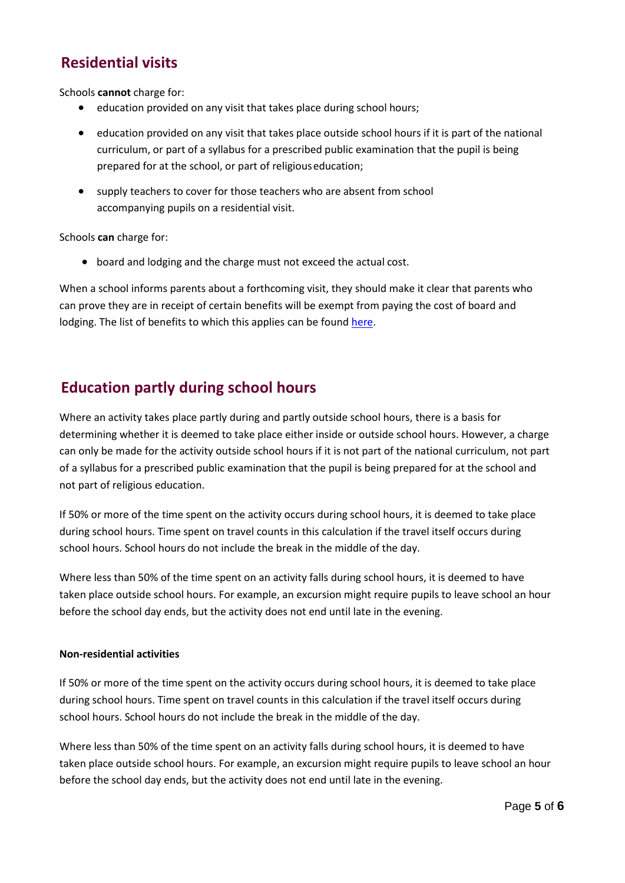## **Residential visits**

Schools **cannot** charge for:

- education provided on any visit that takes place during school hours;
- education provided on any visit that takes place outside school hours if it is part of the national curriculum, or part of a syllabus for a prescribed public examination that the pupil is being prepared for at the school, or part of religiouseducation;
- supply teachers to cover for those teachers who are absent from school accompanying pupils on a residential visit.

Schools **can** charge for:

• board and lodging and the charge must not exceed the actual cost.

When a school informs parents about a forthcoming visit, they should make it clear that parents who can prove they are in receipt of certain benefits will be exempt from paying the cost of board and lodging. The list of benefits to which this applies can be foun[d here.](https://www.gov.uk/apply-free-school-meals)

#### **Education partly during school hours**

Where an activity takes place partly during and partly outside school hours, there is a basis for determining whether it is deemed to take place either inside or outside school hours. However, a charge can only be made for the activity outside school hours if it is not part of the national curriculum, not part of a syllabus for a prescribed public examination that the pupil is being prepared for at the school and not part of religious education.

If 50% or more of the time spent on the activity occurs during school hours, it is deemed to take place during school hours. Time spent on travel counts in this calculation if the travel itself occurs during school hours. School hours do not include the break in the middle of the day.

Where less than 50% of the time spent on an activity falls during school hours, it is deemed to have taken place outside school hours. For example, an excursion might require pupils to leave school an hour before the school day ends, but the activity does not end until late in the evening.

#### **Non-residential activities**

If 50% or more of the time spent on the activity occurs during school hours, it is deemed to take place during school hours. Time spent on travel counts in this calculation if the travel itself occurs during school hours. School hours do not include the break in the middle of the day.

Where less than 50% of the time spent on an activity falls during school hours, it is deemed to have taken place outside school hours. For example, an excursion might require pupils to leave school an hour before the school day ends, but the activity does not end until late in the evening.